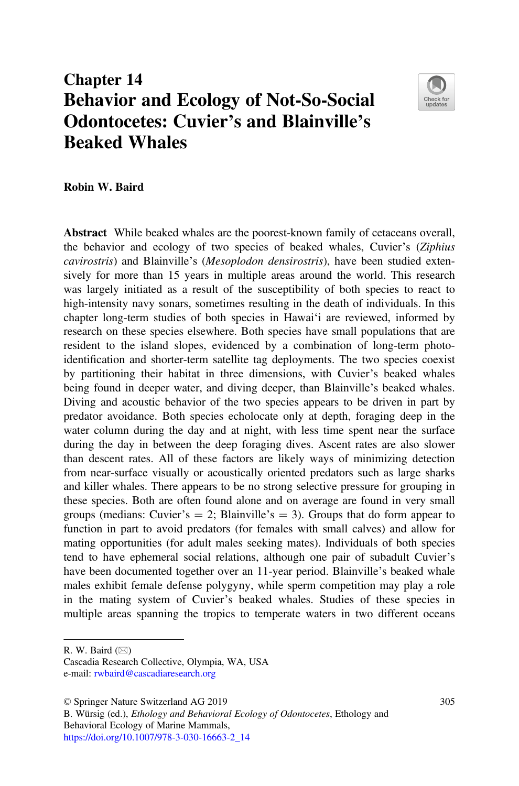# Chapter 14 Behavior and Ecology of Not-So-Social Odontocetes: Cuvier's and Blainville's Beaked Whales



#### Robin W. Baird

Abstract While beaked whales are the poorest-known family of cetaceans overall, the behavior and ecology of two species of beaked whales, Cuvier's (Ziphius cavirostris) and Blainville's (Mesoplodon densirostris), have been studied extensively for more than 15 years in multiple areas around the world. This research was largely initiated as a result of the susceptibility of both species to react to high-intensity navy sonars, sometimes resulting in the death of individuals. In this chapter long-term studies of both species in Hawai'i are reviewed, informed by research on these species elsewhere. Both species have small populations that are resident to the island slopes, evidenced by a combination of long-term photoidentification and shorter-term satellite tag deployments. The two species coexist by partitioning their habitat in three dimensions, with Cuvier's beaked whales being found in deeper water, and diving deeper, than Blainville's beaked whales. Diving and acoustic behavior of the two species appears to be driven in part by predator avoidance. Both species echolocate only at depth, foraging deep in the water column during the day and at night, with less time spent near the surface during the day in between the deep foraging dives. Ascent rates are also slower than descent rates. All of these factors are likely ways of minimizing detection from near-surface visually or acoustically oriented predators such as large sharks and killer whales. There appears to be no strong selective pressure for grouping in these species. Both are often found alone and on average are found in very small groups (medians: Cuvier's  $= 2$ ; Blainville's  $= 3$ ). Groups that do form appear to function in part to avoid predators (for females with small calves) and allow for mating opportunities (for adult males seeking mates). Individuals of both species tend to have ephemeral social relations, although one pair of subadult Cuvier's have been documented together over an 11-year period. Blainville's beaked whale males exhibit female defense polygyny, while sperm competition may play a role in the mating system of Cuvier's beaked whales. Studies of these species in multiple areas spanning the tropics to temperate waters in two different oceans

R. W. Baird  $(\boxtimes)$ 

Cascadia Research Collective, Olympia, WA, USA e-mail: [rwbaird@cascadiaresearch.org](mailto:rwbaird@cascadiaresearch.org)

<sup>©</sup> Springer Nature Switzerland AG 2019

B. Würsig (ed.), *Ethology and Behavioral Ecology of Odontocetes*, *Ethology and* Behavioral Ecology of Marine Mammals, https://doi.org/10.1007/978-3-030-16663-2\_14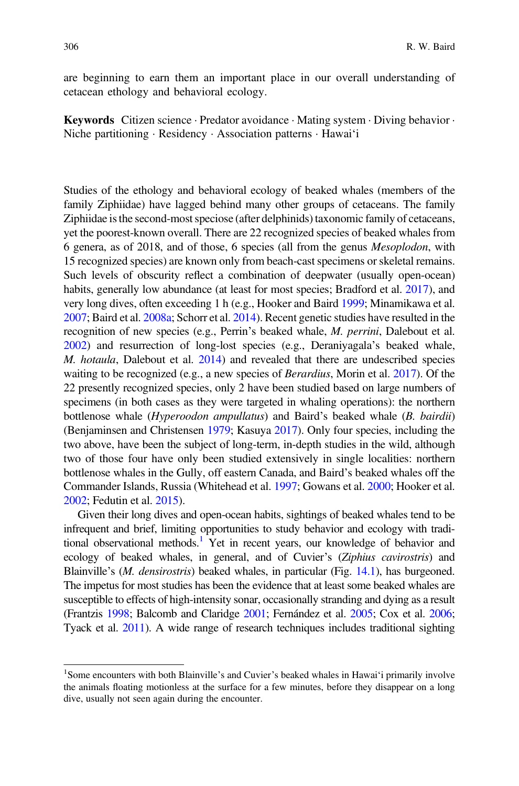are beginning to earn them an important place in our overall understanding of cetacean ethology and behavioral ecology.

**Keywords** Citizen science · Predator avoidance · Mating system · Diving behavior · Niche partitioning · Residency · Association patterns · Hawai'i

Studies of the ethology and behavioral ecology of beaked whales (members of the family Ziphiidae) have lagged behind many other groups of cetaceans. The family Ziphiidae is the second-most speciose (after delphinids) taxonomic family of cetaceans, yet the poorest-known overall. There are 22 recognized species of beaked whales from 6 genera, as of 2018, and of those, 6 species (all from the genus Mesoplodon, with 15 recognized species) are known only from beach-cast specimens or skeletal remains. Such levels of obscurity reflect a combination of deepwater (usually open-ocean) habits, generally low abundance (at least for most species; Bradford et al. 2017), and very long dives, often exceeding 1 h (e.g., Hooker and Baird 1999; Minamikawa et al. 2007; Baird et al. 2008a; Schorr et al. 2014). Recent genetic studies have resulted in the recognition of new species (e.g., Perrin's beaked whale, M. perrini, Dalebout et al. 2002) and resurrection of long-lost species (e.g., Deraniyagala's beaked whale, M. hotaula, Dalebout et al. 2014) and revealed that there are undescribed species waiting to be recognized (e.g., a new species of *Berardius*, Morin et al. 2017). Of the 22 presently recognized species, only 2 have been studied based on large numbers of specimens (in both cases as they were targeted in whaling operations): the northern bottlenose whale (Hyperoodon ampullatus) and Baird's beaked whale (B. bairdii) (Benjaminsen and Christensen 1979; Kasuya 2017). Only four species, including the two above, have been the subject of long-term, in-depth studies in the wild, although two of those four have only been studied extensively in single localities: northern bottlenose whales in the Gully, off eastern Canada, and Baird's beaked whales off the Commander Islands, Russia (Whitehead et al. 1997; Gowans et al. 2000; Hooker et al. 2002; Fedutin et al. 2015).

Given their long dives and open-ocean habits, sightings of beaked whales tend to be infrequent and brief, limiting opportunities to study behavior and ecology with traditional observational methods.<sup>1</sup> Yet in recent years, our knowledge of behavior and ecology of beaked whales, in general, and of Cuvier's (Ziphius cavirostris) and Blainville's (*M. densirostris*) beaked whales, in particular (Fig. 14.1), has burgeoned. The impetus for most studies has been the evidence that at least some beaked whales are susceptible to effects of high-intensity sonar, occasionally stranding and dying as a result (Frantzis 1998; Balcomb and Claridge 2001; Fernández et al. 2005; Cox et al. 2006; Tyack et al. 2011). A wide range of research techniques includes traditional sighting

<sup>&</sup>lt;sup>1</sup>Some encounters with both Blainville's and Cuvier's beaked whales in Hawai'i primarily involve the animals floating motionless at the surface for a few minutes, before they disappear on a long dive, usually not seen again during the encounter.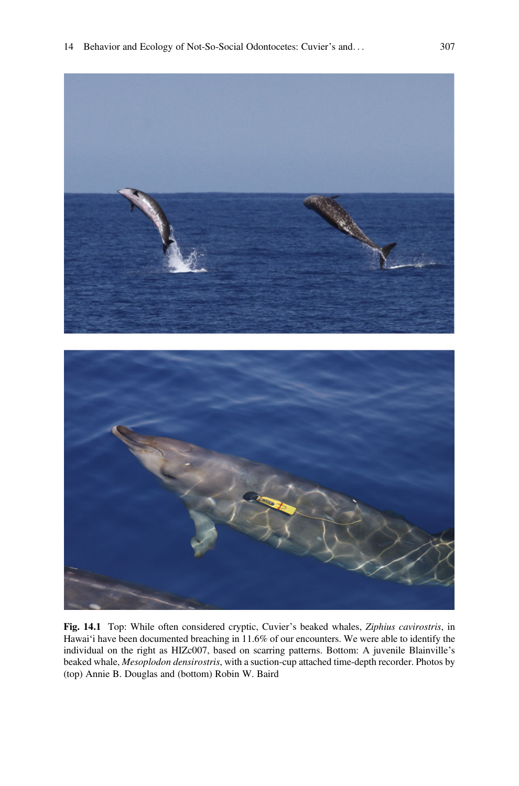



Fig. 14.1 Top: While often considered cryptic, Cuvier's beaked whales, Ziphius cavirostris, in Hawai'i have been documented breaching in 11.6% of our encounters. We were able to identify the individual on the right as HIZc007, based on scarring patterns. Bottom: A juvenile Blainville's beaked whale, Mesoplodon densirostris, with a suction-cup attached time-depth recorder. Photos by (top) Annie B. Douglas and (bottom) Robin W. Baird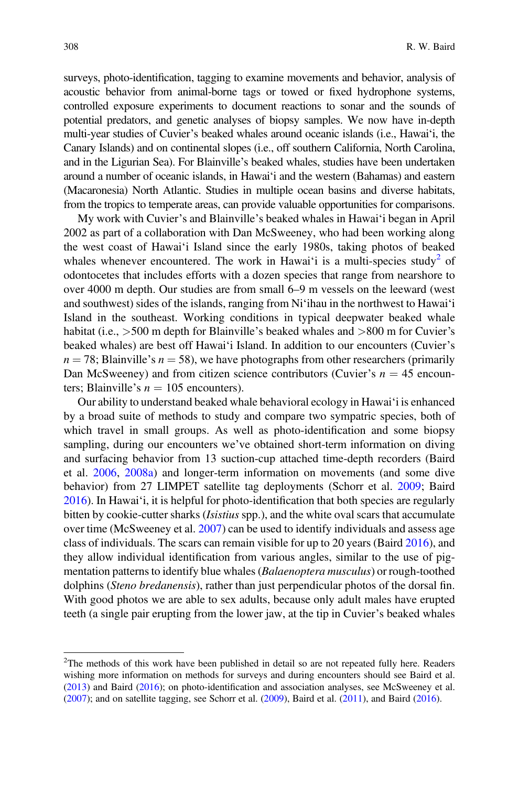surveys, photo-identification, tagging to examine movements and behavior, analysis of acoustic behavior from animal-borne tags or towed or fixed hydrophone systems, controlled exposure experiments to document reactions to sonar and the sounds of potential predators, and genetic analyses of biopsy samples. We now have in-depth multi-year studies of Cuvier's beaked whales around oceanic islands (i.e., Hawai'i, the Canary Islands) and on continental slopes (i.e., off southern California, North Carolina, and in the Ligurian Sea). For Blainville's beaked whales, studies have been undertaken around a number of oceanic islands, in Hawai'i and the western (Bahamas) and eastern (Macaronesia) North Atlantic. Studies in multiple ocean basins and diverse habitats, from the tropics to temperate areas, can provide valuable opportunities for comparisons.

My work with Cuvier's and Blainville's beaked whales in Hawai'i began in April 2002 as part of a collaboration with Dan McSweeney, who had been working along the west coast of Hawai'i Island since the early 1980s, taking photos of beaked whales whenever encountered. The work in Hawai'i is a multi-species study<sup>2</sup> of odontocetes that includes efforts with a dozen species that range from nearshore to over 4000 m depth. Our studies are from small 6–9 m vessels on the leeward (west and southwest) sides of the islands, ranging from Ni'ihau in the northwest to Hawai'i Island in the southeast. Working conditions in typical deepwater beaked whale habitat (i.e.,  $>500$  m depth for Blainville's beaked whales and  $>800$  m for Cuvier's beaked whales) are best off Hawai'i Island. In addition to our encounters (Cuvier's  $n = 78$ ; Blainville's  $n = 58$ ), we have photographs from other researchers (primarily Dan McSweeney) and from citizen science contributors (Cuvier's  $n = 45$  encounters; Blainville's  $n = 105$  encounters).

Our ability to understand beaked whale behavioral ecology in Hawai'i is enhanced by a broad suite of methods to study and compare two sympatric species, both of which travel in small groups. As well as photo-identification and some biopsy sampling, during our encounters we've obtained short-term information on diving and surfacing behavior from 13 suction-cup attached time-depth recorders (Baird et al. 2006, 2008a) and longer-term information on movements (and some dive behavior) from 27 LIMPET satellite tag deployments (Schorr et al. 2009; Baird 2016). In Hawai'i, it is helpful for photo-identification that both species are regularly bitten by cookie-cutter sharks *(Isistius spp.)*, and the white oval scars that accumulate over time (McSweeney et al. 2007) can be used to identify individuals and assess age class of individuals. The scars can remain visible for up to 20 years (Baird 2016), and they allow individual identification from various angles, similar to the use of pigmentation patterns to identify blue whales (Balaenoptera musculus) or rough-toothed dolphins (Steno bredanensis), rather than just perpendicular photos of the dorsal fin. With good photos we are able to sex adults, because only adult males have erupted teeth (a single pair erupting from the lower jaw, at the tip in Cuvier's beaked whales

<sup>&</sup>lt;sup>2</sup>The methods of this work have been published in detail so are not repeated fully here. Readers wishing more information on methods for surveys and during encounters should see Baird et al. (2013) and Baird (2016); on photo-identification and association analyses, see McSweeney et al. (2007); and on satellite tagging, see Schorr et al. (2009), Baird et al. (2011), and Baird (2016).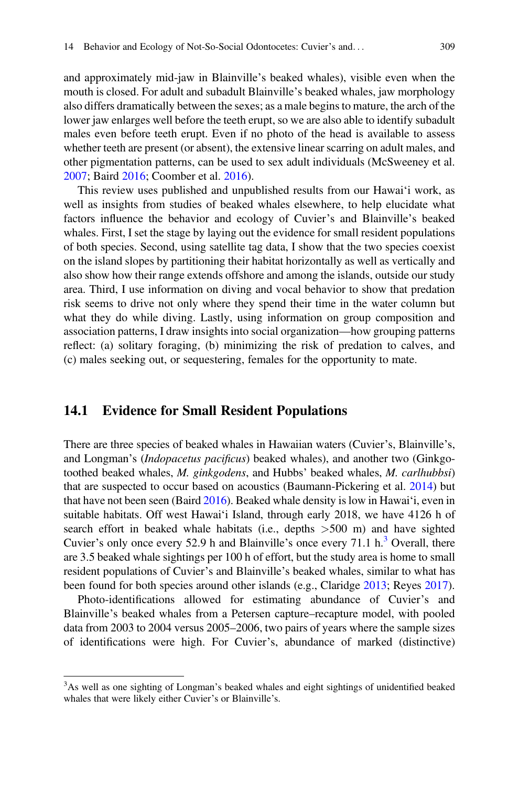and approximately mid-jaw in Blainville's beaked whales), visible even when the mouth is closed. For adult and subadult Blainville's beaked whales, jaw morphology also differs dramatically between the sexes; as a male begins to mature, the arch of the lower jaw enlarges well before the teeth erupt, so we are also able to identify subadult males even before teeth erupt. Even if no photo of the head is available to assess whether teeth are present (or absent), the extensive linear scarring on adult males, and other pigmentation patterns, can be used to sex adult individuals (McSweeney et al. 2007; Baird 2016; Coomber et al. 2016).

This review uses published and unpublished results from our Hawai'i work, as well as insights from studies of beaked whales elsewhere, to help elucidate what factors influence the behavior and ecology of Cuvier's and Blainville's beaked whales. First, I set the stage by laying out the evidence for small resident populations of both species. Second, using satellite tag data, I show that the two species coexist on the island slopes by partitioning their habitat horizontally as well as vertically and also show how their range extends offshore and among the islands, outside our study area. Third, I use information on diving and vocal behavior to show that predation risk seems to drive not only where they spend their time in the water column but what they do while diving. Lastly, using information on group composition and association patterns, I draw insights into social organization—how grouping patterns reflect: (a) solitary foraging, (b) minimizing the risk of predation to calves, and (c) males seeking out, or sequestering, females for the opportunity to mate.

#### 14.1 Evidence for Small Resident Populations

There are three species of beaked whales in Hawaiian waters (Cuvier's, Blainville's, and Longman's (Indopacetus pacificus) beaked whales), and another two (Ginkgotoothed beaked whales, M. ginkgodens, and Hubbs' beaked whales, M. carlhubbsi) that are suspected to occur based on acoustics (Baumann-Pickering et al. 2014) but that have not been seen (Baird 2016). Beaked whale density is low in Hawai'i, even in suitable habitats. Off west Hawai'i Island, through early 2018, we have 4126 h of search effort in beaked whale habitats (i.e., depths >500 m) and have sighted Cuvier's only once every 52.9 h and Blainville's once every 71.1  $h^3$  Overall, there are 3.5 beaked whale sightings per 100 h of effort, but the study area is home to small resident populations of Cuvier's and Blainville's beaked whales, similar to what has been found for both species around other islands (e.g., Claridge 2013; Reyes 2017).

Photo-identifications allowed for estimating abundance of Cuvier's and Blainville's beaked whales from a Petersen capture–recapture model, with pooled data from 2003 to 2004 versus 2005–2006, two pairs of years where the sample sizes of identifications were high. For Cuvier's, abundance of marked (distinctive)

<sup>&</sup>lt;sup>3</sup>As well as one sighting of Longman's beaked whales and eight sightings of unidentified beaked whales that were likely either Cuvier's or Blainville's.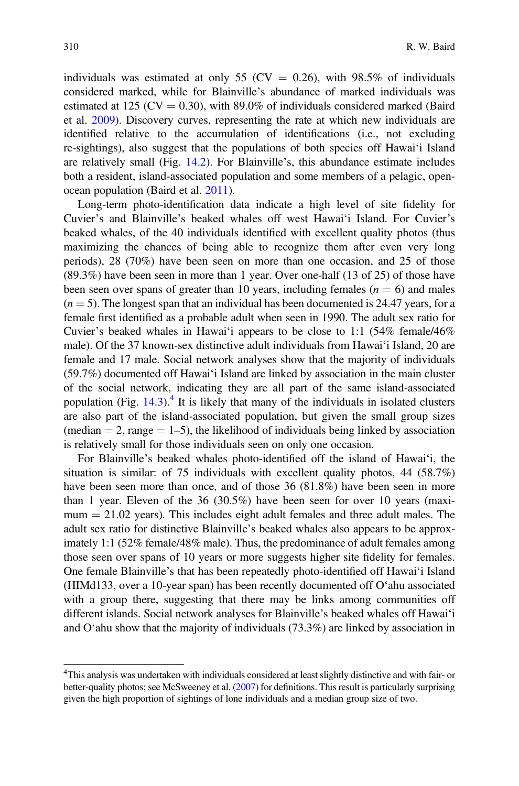individuals was estimated at only 55 (CV  $= 0.26$ ), with 98.5% of individuals considered marked, while for Blainville's abundance of marked individuals was estimated at 125 ( $CV = 0.30$ ), with 89.0% of individuals considered marked (Baird et al. 2009). Discovery curves, representing the rate at which new individuals are identified relative to the accumulation of identifications (i.e., not excluding re-sightings), also suggest that the populations of both species off Hawai'i Island are relatively small (Fig. 14.2). For Blainville's, this abundance estimate includes both a resident, island-associated population and some members of a pelagic, openocean population (Baird et al. 2011).

Long-term photo-identification data indicate a high level of site fidelity for Cuvier's and Blainville's beaked whales off west Hawai'i Island. For Cuvier's beaked whales, of the 40 individuals identified with excellent quality photos (thus maximizing the chances of being able to recognize them after even very long periods), 28 (70%) have been seen on more than one occasion, and 25 of those (89.3%) have been seen in more than 1 year. Over one-half (13 of 25) of those have been seen over spans of greater than 10 years, including females ( $n = 6$ ) and males  $(n = 5)$ . The longest span that an individual has been documented is 24.47 years, for a female first identified as a probable adult when seen in 1990. The adult sex ratio for Cuvier's beaked whales in Hawai'i appears to be close to 1:1 (54% female/46%) male). Of the 37 known-sex distinctive adult individuals from Hawai'i Island, 20 are female and 17 male. Social network analyses show that the majority of individuals (59.7%) documented off Hawai'i Island are linked by association in the main cluster of the social network, indicating they are all part of the same island-associated population (Fig.  $14.3$ ).<sup>4</sup> It is likely that many of the individuals in isolated clusters are also part of the island-associated population, but given the small group sizes (median  $= 2$ , range  $= 1-5$ ), the likelihood of individuals being linked by association is relatively small for those individuals seen on only one occasion.

For Blainville's beaked whales photo-identified off the island of Hawai'i, the situation is similar: of 75 individuals with excellent quality photos, 44 (58.7%) have been seen more than once, and of those 36 (81.8%) have been seen in more than 1 year. Eleven of the 36 (30.5%) have been seen for over 10 years (maxi $mum = 21.02$  years). This includes eight adult females and three adult males. The adult sex ratio for distinctive Blainville's beaked whales also appears to be approximately 1:1 (52% female/48% male). Thus, the predominance of adult females among those seen over spans of 10 years or more suggests higher site fidelity for females. One female Blainville's that has been repeatedly photo-identified off Hawai'i Island (HIMd133, over a 10-year span) has been recently documented off O'ahu associated with a group there, suggesting that there may be links among communities off different islands. Social network analyses for Blainville's beaked whales off Hawai'i and O'ahu show that the majority of individuals  $(73.3\%)$  are linked by association in

<sup>&</sup>lt;sup>4</sup>This analysis was undertaken with individuals considered at least slightly distinctive and with fair- or better-quality photos; see McSweeney et al. (2007) for definitions. This result is particularly surprising given the high proportion of sightings of lone individuals and a median group size of two.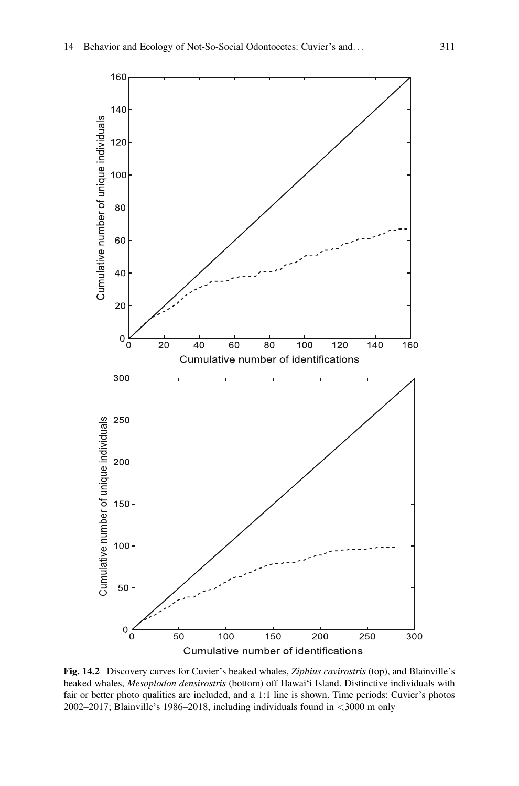

Fig. 14.2 Discovery curves for Cuvier's beaked whales, Ziphius cavirostris (top), and Blainville's beaked whales, Mesoplodon densirostris (bottom) off Hawai'i Island. Distinctive individuals with fair or better photo qualities are included, and a 1:1 line is shown. Time periods: Cuvier's photos 2002–2017; Blainville's 1986–2018, including individuals found in <3000 m only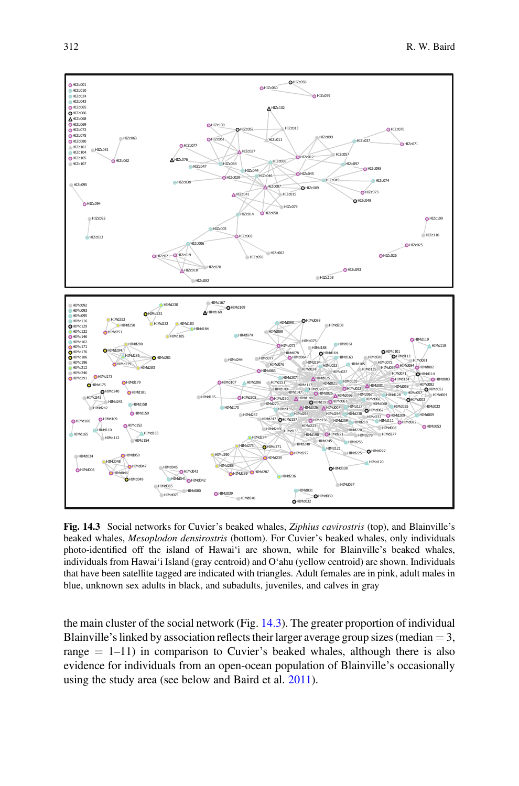

Fig. 14.3 Social networks for Cuvier's beaked whales, *Ziphius cavirostris* (top), and Blainville's beaked whales, Mesoplodon densirostris (bottom). For Cuvier's beaked whales, only individuals photo-identified off the island of Hawai'i are shown, while for Blainville's beaked whales, individuals from Hawai'i Island (gray centroid) and O'ahu (yellow centroid) are shown. Individuals that have been satellite tagged are indicated with triangles. Adult females are in pink, adult males in blue, unknown sex adults in black, and subadults, juveniles, and calves in gray

the main cluster of the social network (Fig. 14.3). The greater proportion of individual Blainville's linked by association reflects their larger average group sizes (median  $= 3$ , range  $= 1-11$ ) in comparison to Cuvier's beaked whales, although there is also evidence for individuals from an open-ocean population of Blainville's occasionally using the study area (see below and Baird et al. 2011).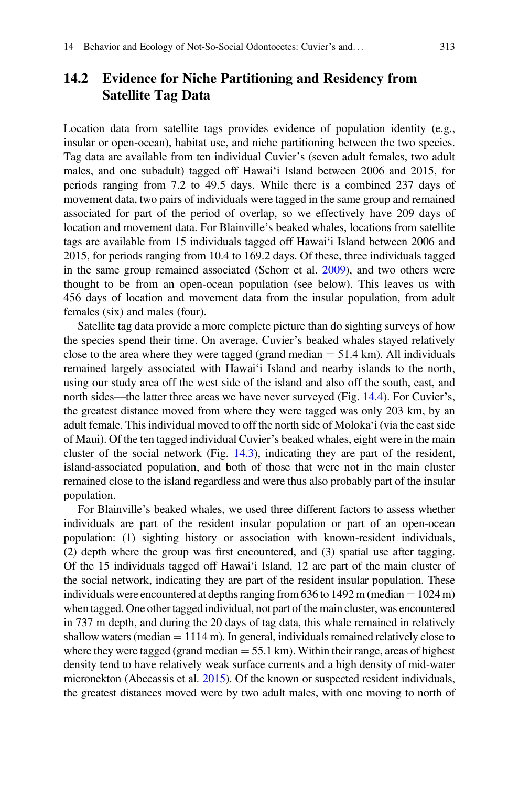# 14.2 Evidence for Niche Partitioning and Residency from Satellite Tag Data

Location data from satellite tags provides evidence of population identity (e.g., insular or open-ocean), habitat use, and niche partitioning between the two species. Tag data are available from ten individual Cuvier's (seven adult females, two adult males, and one subadult) tagged off Hawai'i Island between 2006 and 2015, for periods ranging from 7.2 to 49.5 days. While there is a combined 237 days of movement data, two pairs of individuals were tagged in the same group and remained associated for part of the period of overlap, so we effectively have 209 days of location and movement data. For Blainville's beaked whales, locations from satellite tags are available from 15 individuals tagged off Hawai'i Island between 2006 and 2015, for periods ranging from 10.4 to 169.2 days. Of these, three individuals tagged in the same group remained associated (Schorr et al. 2009), and two others were thought to be from an open-ocean population (see below). This leaves us with 456 days of location and movement data from the insular population, from adult females (six) and males (four).

Satellite tag data provide a more complete picture than do sighting surveys of how the species spend their time. On average, Cuvier's beaked whales stayed relatively close to the area where they were tagged (grand median  $= 51.4$  km). All individuals remained largely associated with Hawai'i Island and nearby islands to the north, using our study area off the west side of the island and also off the south, east, and north sides—the latter three areas we have never surveyed (Fig. 14.4). For Cuvier's, the greatest distance moved from where they were tagged was only 203 km, by an adult female. This individual moved to off the north side of Moloka'i (via the east side of Maui). Of the ten tagged individual Cuvier's beaked whales, eight were in the main cluster of the social network (Fig. 14.3), indicating they are part of the resident, island-associated population, and both of those that were not in the main cluster remained close to the island regardless and were thus also probably part of the insular population.

For Blainville's beaked whales, we used three different factors to assess whether individuals are part of the resident insular population or part of an open-ocean population: (1) sighting history or association with known-resident individuals, (2) depth where the group was first encountered, and (3) spatial use after tagging. Of the 15 individuals tagged off Hawai'i Island, 12 are part of the main cluster of the social network, indicating they are part of the resident insular population. These individuals were encountered at depths ranging from 636 to 1492 m (median  $= 1024$  m) when tagged. One other tagged individual, not part of the main cluster, was encountered in 737 m depth, and during the 20 days of tag data, this whale remained in relatively shallow waters (median  $= 1114$  m). In general, individuals remained relatively close to where they were tagged (grand median  $=$  55.1 km). Within their range, areas of highest density tend to have relatively weak surface currents and a high density of mid-water micronekton (Abecassis et al. 2015). Of the known or suspected resident individuals, the greatest distances moved were by two adult males, with one moving to north of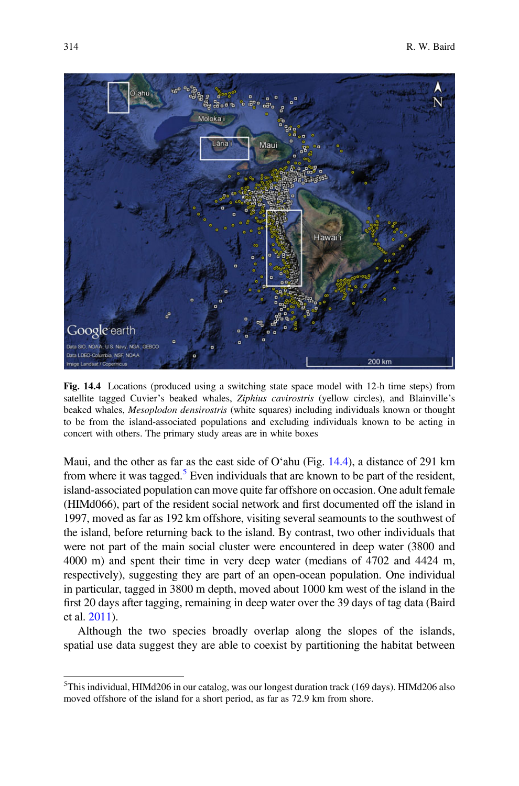

Fig. 14.4 Locations (produced using a switching state space model with 12-h time steps) from satellite tagged Cuvier's beaked whales, Ziphius cavirostris (yellow circles), and Blainville's beaked whales, *Mesoplodon densirostris* (white squares) including individuals known or thought to be from the island-associated populations and excluding individuals known to be acting in concert with others. The primary study areas are in white boxes

Maui, and the other as far as the east side of O'ahu (Fig.  $14.4$ ), a distance of 291 km from where it was tagged.<sup>5</sup> Even individuals that are known to be part of the resident, island-associated population can move quite far offshore on occasion. One adult female (HIMd066), part of the resident social network and first documented off the island in 1997, moved as far as 192 km offshore, visiting several seamounts to the southwest of the island, before returning back to the island. By contrast, two other individuals that were not part of the main social cluster were encountered in deep water (3800 and 4000 m) and spent their time in very deep water (medians of 4702 and 4424 m, respectively), suggesting they are part of an open-ocean population. One individual in particular, tagged in 3800 m depth, moved about 1000 km west of the island in the first 20 days after tagging, remaining in deep water over the 39 days of tag data (Baird et al. 2011).

Although the two species broadly overlap along the slopes of the islands, spatial use data suggest they are able to coexist by partitioning the habitat between

<sup>&</sup>lt;sup>5</sup>This individual, HIMd206 in our catalog, was our longest duration track (169 days). HIMd206 also moved offshore of the island for a short period, as far as 72.9 km from shore.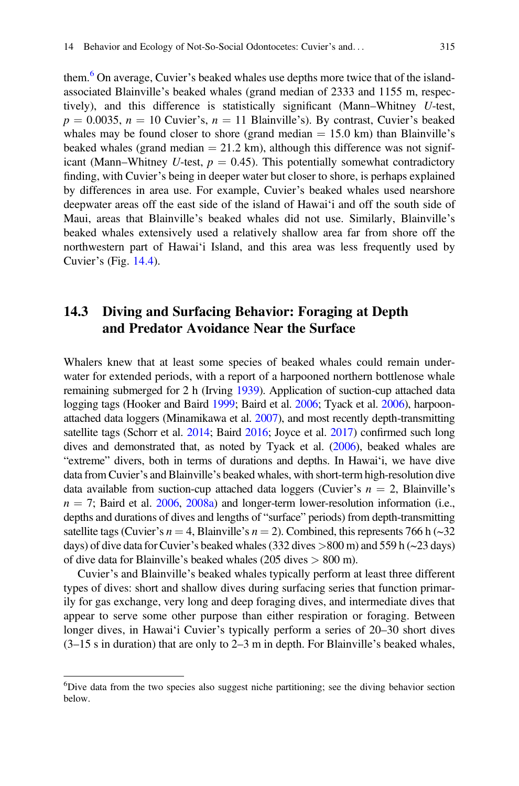them.<sup>6</sup> On average, Cuvier's beaked whales use depths more twice that of the islandassociated Blainville's beaked whales (grand median of 2333 and 1155 m, respectively), and this difference is statistically significant (Mann–Whitney U-test,  $p = 0.0035$ ,  $n = 10$  Cuvier's,  $n = 11$  Blainville's). By contrast, Cuvier's beaked whales may be found closer to shore (grand median  $= 15.0 \text{ km}$ ) than Blainville's beaked whales (grand median  $= 21.2$  km), although this difference was not significant (Mann–Whitney U-test,  $p = 0.45$ ). This potentially somewhat contradictory finding, with Cuvier's being in deeper water but closer to shore, is perhaps explained by differences in area use. For example, Cuvier's beaked whales used nearshore deepwater areas off the east side of the island of Hawai'i and off the south side of Maui, areas that Blainville's beaked whales did not use. Similarly, Blainville's beaked whales extensively used a relatively shallow area far from shore off the northwestern part of Hawai'i Island, and this area was less frequently used by Cuvier's (Fig. 14.4).

# 14.3 Diving and Surfacing Behavior: Foraging at Depth and Predator Avoidance Near the Surface

Whalers knew that at least some species of beaked whales could remain underwater for extended periods, with a report of a harpooned northern bottlenose whale remaining submerged for 2 h (Irving 1939). Application of suction-cup attached data logging tags (Hooker and Baird 1999; Baird et al. 2006; Tyack et al. 2006), harpoonattached data loggers (Minamikawa et al. 2007), and most recently depth-transmitting satellite tags (Schorr et al. 2014; Baird 2016; Joyce et al. 2017) confirmed such long dives and demonstrated that, as noted by Tyack et al. (2006), beaked whales are "extreme" divers, both in terms of durations and depths. In Hawai'i, we have dive data from Cuvier's and Blainville's beaked whales, with short-term high-resolution dive data available from suction-cup attached data loggers (Cuvier's  $n = 2$ , Blainville's  $n = 7$ ; Baird et al. 2006, 2008a) and longer-term lower-resolution information (i.e., depths and durations of dives and lengths of "surface" periods) from depth-transmitting satellite tags (Cuvier's  $n = 4$ , Blainville's  $n = 2$ ). Combined, this represents 766 h ( $\sim$ 32) days) of dive data for Cuvier's beaked whales (332 dives  $>800$  m) and 559 h ( $\sim$ 23 days) of dive data for Blainville's beaked whales (205 dives > 800 m).

Cuvier's and Blainville's beaked whales typically perform at least three different types of dives: short and shallow dives during surfacing series that function primarily for gas exchange, very long and deep foraging dives, and intermediate dives that appear to serve some other purpose than either respiration or foraging. Between longer dives, in Hawai'i Cuvier's typically perform a series of 20–30 short dives  $(3-15 \text{ s}$  in duration) that are only to  $2-3$  m in depth. For Blainville's beaked whales,

<sup>&</sup>lt;sup>6</sup>Dive data from the two species also suggest niche partitioning; see the diving behavior section below.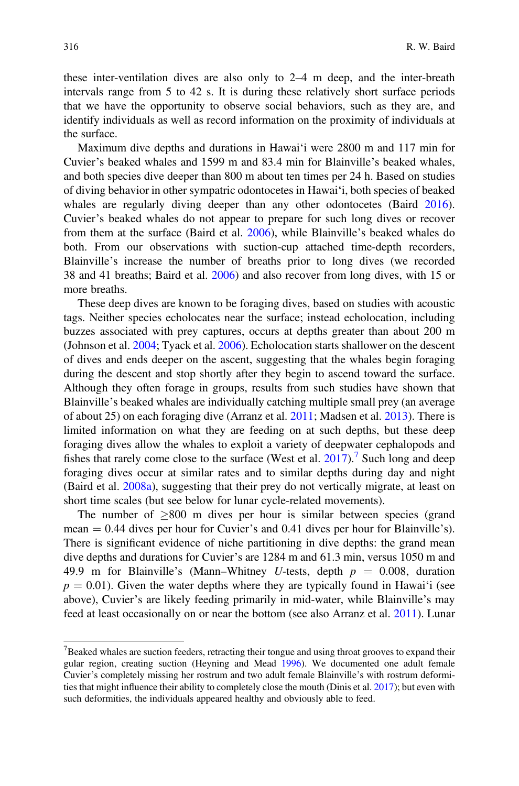these inter-ventilation dives are also only to 2–4 m deep, and the inter-breath intervals range from 5 to 42 s. It is during these relatively short surface periods that we have the opportunity to observe social behaviors, such as they are, and identify individuals as well as record information on the proximity of individuals at the surface.

Maximum dive depths and durations in Hawai'i were 2800 m and 117 min for Cuvier's beaked whales and 1599 m and 83.4 min for Blainville's beaked whales, and both species dive deeper than 800 m about ten times per 24 h. Based on studies of diving behavior in other sympatric odontocetes in Hawai'i, both species of beaked whales are regularly diving deeper than any other odontocetes (Baird 2016). Cuvier's beaked whales do not appear to prepare for such long dives or recover from them at the surface (Baird et al. 2006), while Blainville's beaked whales do both. From our observations with suction-cup attached time-depth recorders, Blainville's increase the number of breaths prior to long dives (we recorded 38 and 41 breaths; Baird et al. 2006) and also recover from long dives, with 15 or more breaths.

These deep dives are known to be foraging dives, based on studies with acoustic tags. Neither species echolocates near the surface; instead echolocation, including buzzes associated with prey captures, occurs at depths greater than about 200 m (Johnson et al. 2004; Tyack et al. 2006). Echolocation starts shallower on the descent of dives and ends deeper on the ascent, suggesting that the whales begin foraging during the descent and stop shortly after they begin to ascend toward the surface. Although they often forage in groups, results from such studies have shown that Blainville's beaked whales are individually catching multiple small prey (an average of about 25) on each foraging dive (Arranz et al. 2011; Madsen et al. 2013). There is limited information on what they are feeding on at such depths, but these deep foraging dives allow the whales to exploit a variety of deepwater cephalopods and fishes that rarely come close to the surface (West et al.  $2017$ ).<sup>7</sup> Such long and deep foraging dives occur at similar rates and to similar depths during day and night (Baird et al. 2008a), suggesting that their prey do not vertically migrate, at least on short time scales (but see below for lunar cycle-related movements).

The number of  $\geq 800$  m dives per hour is similar between species (grand mean  $= 0.44$  dives per hour for Cuvier's and 0.41 dives per hour for Blainville's). There is significant evidence of niche partitioning in dive depths: the grand mean dive depths and durations for Cuvier's are 1284 m and 61.3 min, versus 1050 m and 49.9 m for Blainville's (Mann–Whitney U-tests, depth  $p = 0.008$ , duration  $p = 0.01$ ). Given the water depths where they are typically found in Hawai'i (see above), Cuvier's are likely feeding primarily in mid-water, while Blainville's may feed at least occasionally on or near the bottom (see also Arranz et al. 2011). Lunar

 $7$ Beaked whales are suction feeders, retracting their tongue and using throat grooves to expand their gular region, creating suction (Heyning and Mead 1996). We documented one adult female Cuvier's completely missing her rostrum and two adult female Blainville's with rostrum deformities that might influence their ability to completely close the mouth (Dinis et al. 2017); but even with such deformities, the individuals appeared healthy and obviously able to feed.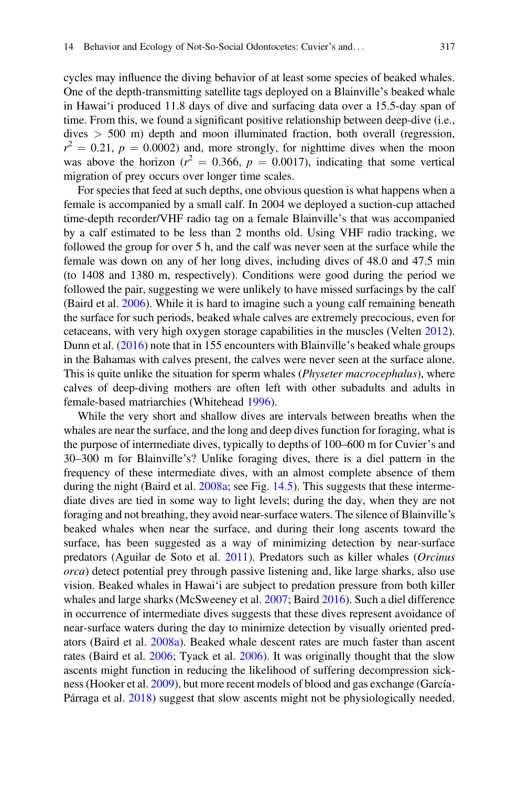cycles may influence the diving behavior of at least some species of beaked whales. One of the depth-transmitting satellite tags deployed on a Blainville's beaked whale in Hawai'i produced 11.8 days of dive and surfacing data over a 15.5-day span of time. From this, we found a significant positive relationship between deep-dive (i.e.,  $\text{dives} > 500 \text{ m}$ ) depth and moon illuminated fraction, both overall (regression,  $r^2 = 0.21$ ,  $p = 0.0002$ ) and, more strongly, for nighttime dives when the moon was above the horizon ( $r^2 = 0.366$ ,  $p = 0.0017$ ), indicating that some vertical migration of prey occurs over longer time scales.

For species that feed at such depths, one obvious question is what happens when a female is accompanied by a small calf. In 2004 we deployed a suction-cup attached time-depth recorder/VHF radio tag on a female Blainville's that was accompanied by a calf estimated to be less than 2 months old. Using VHF radio tracking, we followed the group for over 5 h, and the calf was never seen at the surface while the female was down on any of her long dives, including dives of 48.0 and 47.5 min (to 1408 and 1380 m, respectively). Conditions were good during the period we followed the pair, suggesting we were unlikely to have missed surfacings by the calf (Baird et al. 2006). While it is hard to imagine such a young calf remaining beneath the surface for such periods, beaked whale calves are extremely precocious, even for cetaceans, with very high oxygen storage capabilities in the muscles (Velten 2012). Dunn et al. (2016) note that in 155 encounters with Blainville's beaked whale groups in the Bahamas with calves present, the calves were never seen at the surface alone. This is quite unlike the situation for sperm whales (*Physeter macrocephalus*), where calves of deep-diving mothers are often left with other subadults and adults in female-based matriarchies (Whitehead 1996).

While the very short and shallow dives are intervals between breaths when the whales are near the surface, and the long and deep dives function for foraging, what is the purpose of intermediate dives, typically to depths of 100–600 m for Cuvier's and 30–300 m for Blainville's? Unlike foraging dives, there is a diel pattern in the frequency of these intermediate dives, with an almost complete absence of them during the night (Baird et al. 2008a; see Fig. 14.5). This suggests that these intermediate dives are tied in some way to light levels; during the day, when they are not foraging and not breathing, they avoid near-surface waters. The silence of Blainville's beaked whales when near the surface, and during their long ascents toward the surface, has been suggested as a way of minimizing detection by near-surface predators (Aguilar de Soto et al. 2011). Predators such as killer whales (Orcinus orca) detect potential prey through passive listening and, like large sharks, also use vision. Beaked whales in Hawai'i are subject to predation pressure from both killer whales and large sharks (McSweeney et al. 2007; Baird 2016). Such a diel difference in occurrence of intermediate dives suggests that these dives represent avoidance of near-surface waters during the day to minimize detection by visually oriented predators (Baird et al. 2008a). Beaked whale descent rates are much faster than ascent rates (Baird et al. 2006; Tyack et al. 2006). It was originally thought that the slow ascents might function in reducing the likelihood of suffering decompression sickness (Hooker et al. 2009), but more recent models of blood and gas exchange (García-Párraga et al. 2018) suggest that slow ascents might not be physiologically needed.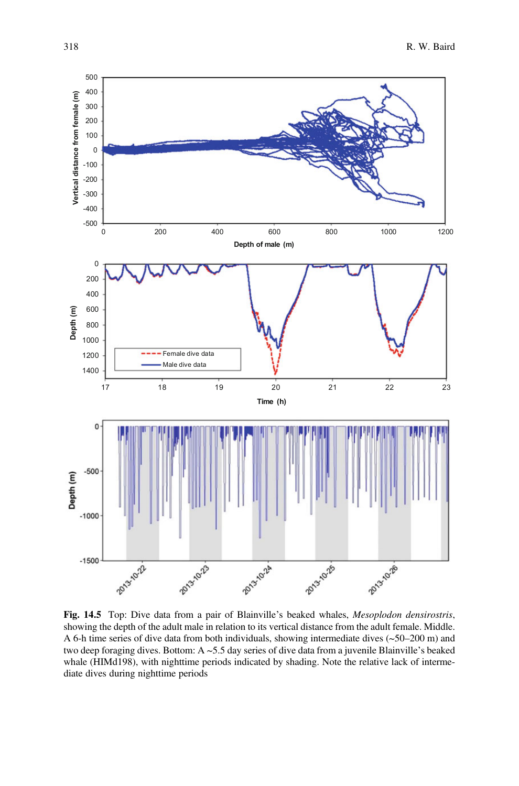

Fig. 14.5 Top: Dive data from a pair of Blainville's beaked whales, *Mesoplodon densirostris*, showing the depth of the adult male in relation to its vertical distance from the adult female. Middle. A 6-h time series of dive data from both individuals, showing intermediate dives (~50–200 m) and two deep foraging dives. Bottom: A ~5.5 day series of dive data from a juvenile Blainville's beaked whale (HIMd198), with nighttime periods indicated by shading. Note the relative lack of intermediate dives during nighttime periods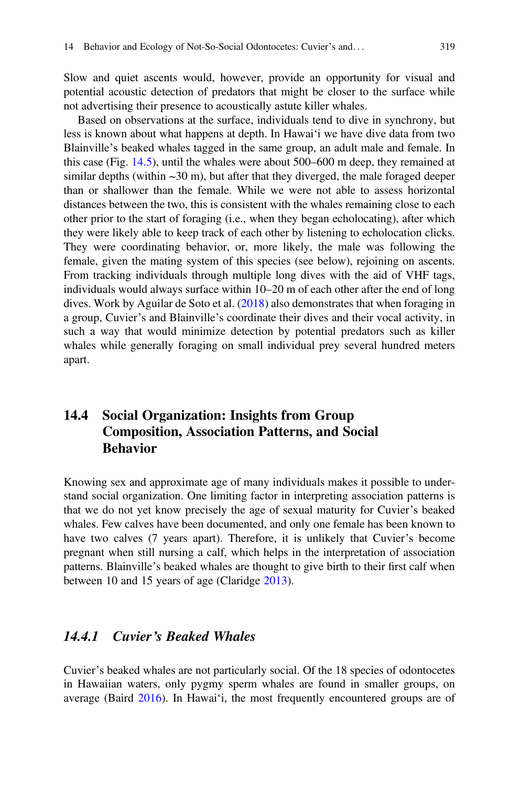Slow and quiet ascents would, however, provide an opportunity for visual and potential acoustic detection of predators that might be closer to the surface while not advertising their presence to acoustically astute killer whales.

Based on observations at the surface, individuals tend to dive in synchrony, but less is known about what happens at depth. In Hawai'i we have dive data from two Blainville's beaked whales tagged in the same group, an adult male and female. In this case (Fig. 14.5), until the whales were about 500–600 m deep, they remained at similar depths (within  $\sim$ 30 m), but after that they diverged, the male foraged deeper than or shallower than the female. While we were not able to assess horizontal distances between the two, this is consistent with the whales remaining close to each other prior to the start of foraging (i.e., when they began echolocating), after which they were likely able to keep track of each other by listening to echolocation clicks. They were coordinating behavior, or, more likely, the male was following the female, given the mating system of this species (see below), rejoining on ascents. From tracking individuals through multiple long dives with the aid of VHF tags, individuals would always surface within 10–20 m of each other after the end of long dives. Work by Aguilar de Soto et al. (2018) also demonstrates that when foraging in a group, Cuvier's and Blainville's coordinate their dives and their vocal activity, in such a way that would minimize detection by potential predators such as killer whales while generally foraging on small individual prey several hundred meters apart.

# 14.4 Social Organization: Insights from Group Composition, Association Patterns, and Social Behavior

Knowing sex and approximate age of many individuals makes it possible to understand social organization. One limiting factor in interpreting association patterns is that we do not yet know precisely the age of sexual maturity for Cuvier's beaked whales. Few calves have been documented, and only one female has been known to have two calves (7 years apart). Therefore, it is unlikely that Cuvier's become pregnant when still nursing a calf, which helps in the interpretation of association patterns. Blainville's beaked whales are thought to give birth to their first calf when between 10 and 15 years of age (Claridge 2013).

## 14.4.1 Cuvier's Beaked Whales

Cuvier's beaked whales are not particularly social. Of the 18 species of odontocetes in Hawaiian waters, only pygmy sperm whales are found in smaller groups, on average (Baird 2016). In Hawai'i, the most frequently encountered groups are of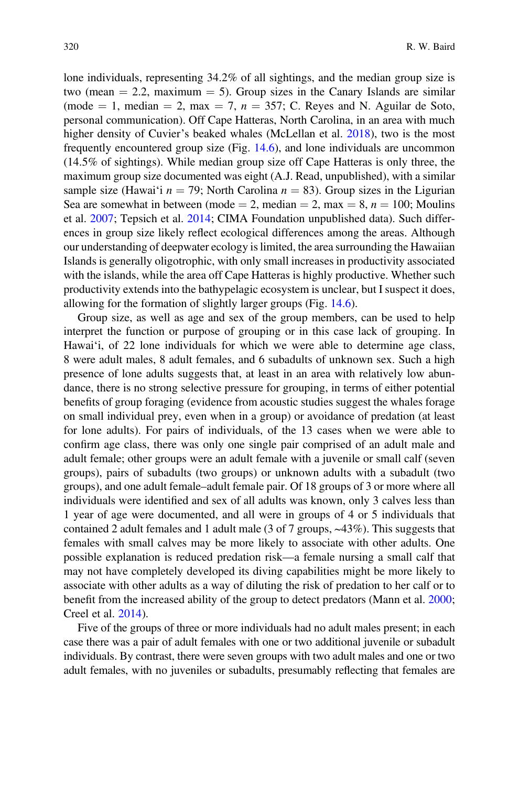lone individuals, representing 34.2% of all sightings, and the median group size is two (mean  $= 2.2$ , maximum  $= 5$ ). Group sizes in the Canary Islands are similar (mode  $= 1$ , median  $= 2$ , max  $= 7$ ,  $n = 357$ ; C. Reyes and N. Aguilar de Soto, personal communication). Off Cape Hatteras, North Carolina, in an area with much higher density of Cuvier's beaked whales (McLellan et al. 2018), two is the most frequently encountered group size (Fig. 14.6), and lone individuals are uncommon (14.5% of sightings). While median group size off Cape Hatteras is only three, the maximum group size documented was eight (A.J. Read, unpublished), with a similar sample size (Hawai'i  $n = 79$ ; North Carolina  $n = 83$ ). Group sizes in the Ligurian Sea are somewhat in between (mode = 2, median = 2, max =  $8$ ,  $n = 100$ ; Moulins et al. 2007; Tepsich et al. 2014; CIMA Foundation unpublished data). Such differences in group size likely reflect ecological differences among the areas. Although our understanding of deepwater ecology is limited, the area surrounding the Hawaiian Islands is generally oligotrophic, with only small increases in productivity associated with the islands, while the area off Cape Hatteras is highly productive. Whether such productivity extends into the bathypelagic ecosystem is unclear, but I suspect it does, allowing for the formation of slightly larger groups (Fig. 14.6).

Group size, as well as age and sex of the group members, can be used to help interpret the function or purpose of grouping or in this case lack of grouping. In Hawai'i, of 22 lone individuals for which we were able to determine age class, 8 were adult males, 8 adult females, and 6 subadults of unknown sex. Such a high presence of lone adults suggests that, at least in an area with relatively low abundance, there is no strong selective pressure for grouping, in terms of either potential benefits of group foraging (evidence from acoustic studies suggest the whales forage on small individual prey, even when in a group) or avoidance of predation (at least for lone adults). For pairs of individuals, of the 13 cases when we were able to confirm age class, there was only one single pair comprised of an adult male and adult female; other groups were an adult female with a juvenile or small calf (seven groups), pairs of subadults (two groups) or unknown adults with a subadult (two groups), and one adult female–adult female pair. Of 18 groups of 3 or more where all individuals were identified and sex of all adults was known, only 3 calves less than 1 year of age were documented, and all were in groups of 4 or 5 individuals that contained 2 adult females and 1 adult male (3 of 7 groups, ~43%). This suggests that females with small calves may be more likely to associate with other adults. One possible explanation is reduced predation risk—a female nursing a small calf that may not have completely developed its diving capabilities might be more likely to associate with other adults as a way of diluting the risk of predation to her calf or to benefit from the increased ability of the group to detect predators (Mann et al. 2000; Creel et al. 2014).

Five of the groups of three or more individuals had no adult males present; in each case there was a pair of adult females with one or two additional juvenile or subadult individuals. By contrast, there were seven groups with two adult males and one or two adult females, with no juveniles or subadults, presumably reflecting that females are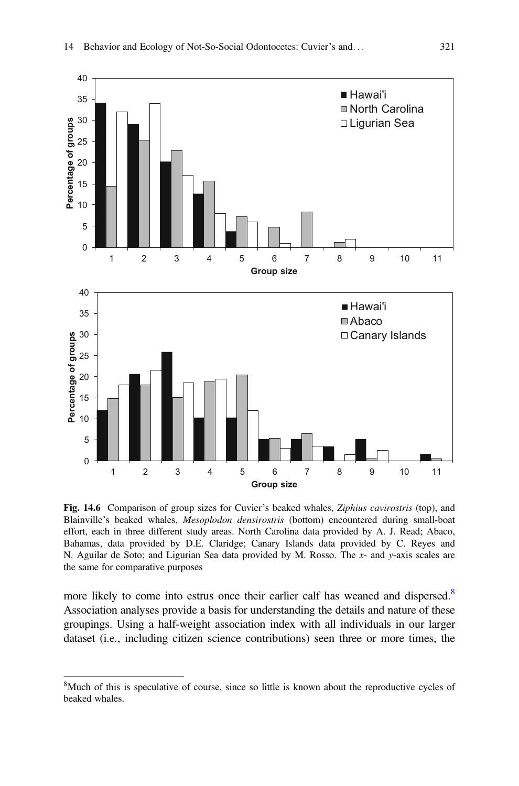

Fig. 14.6 Comparison of group sizes for Cuvier's beaked whales, Ziphius cavirostris (top), and Blainville's beaked whales, Mesoplodon densirostris (bottom) encountered during small-boat effort, each in three different study areas. North Carolina data provided by A. J. Read; Abaco, Bahamas, data provided by D.E. Claridge; Canary Islands data provided by C. Reyes and N. Aguilar de Soto; and Ligurian Sea data provided by M. Rosso. The x- and y-axis scales are the same for comparative purposes

more likely to come into estrus once their earlier calf has weaned and dispersed.<sup>8</sup> Association analyses provide a basis for understanding the details and nature of these groupings. Using a half-weight association index with all individuals in our larger dataset (i.e., including citizen science contributions) seen three or more times, the

<sup>&</sup>lt;sup>8</sup>Much of this is speculative of course, since so little is known about the reproductive cycles of beaked whales.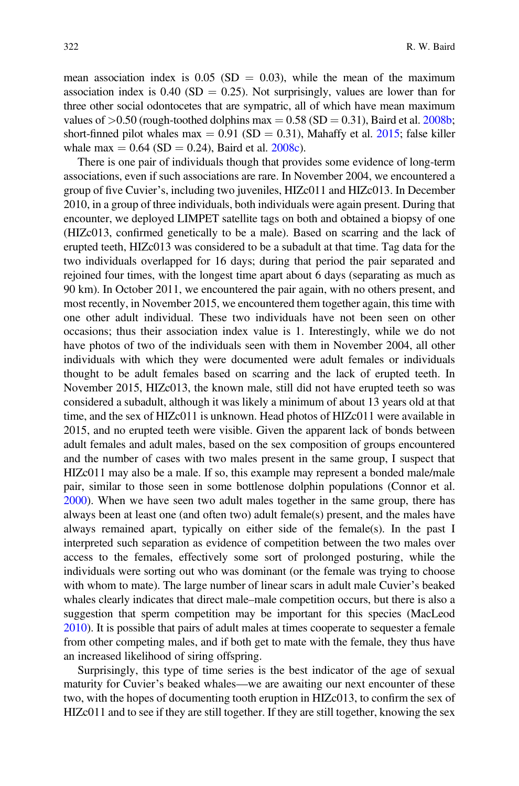mean association index is  $0.05$  (SD = 0.03), while the mean of the maximum association index is  $0.40$  (SD = 0.25). Not surprisingly, values are lower than for three other social odontocetes that are sympatric, all of which have mean maximum values of  $>0.50$  (rough-toothed dolphins max  $= 0.58$  (SD  $= 0.31$ ), Baird et al. 2008b; short-finned pilot whales max  $= 0.91$  (SD  $= 0.31$ ), Mahaffy et al. 2015; false killer whale max =  $0.64$  (SD = 0.24), Baird et al. 2008c).

There is one pair of individuals though that provides some evidence of long-term associations, even if such associations are rare. In November 2004, we encountered a group of five Cuvier's, including two juveniles, HIZc011 and HIZc013. In December 2010, in a group of three individuals, both individuals were again present. During that encounter, we deployed LIMPET satellite tags on both and obtained a biopsy of one (HIZc013, confirmed genetically to be a male). Based on scarring and the lack of erupted teeth, HIZc013 was considered to be a subadult at that time. Tag data for the two individuals overlapped for 16 days; during that period the pair separated and rejoined four times, with the longest time apart about 6 days (separating as much as 90 km). In October 2011, we encountered the pair again, with no others present, and most recently, in November 2015, we encountered them together again, this time with one other adult individual. These two individuals have not been seen on other occasions; thus their association index value is 1. Interestingly, while we do not have photos of two of the individuals seen with them in November 2004, all other individuals with which they were documented were adult females or individuals thought to be adult females based on scarring and the lack of erupted teeth. In November 2015, HIZc013, the known male, still did not have erupted teeth so was considered a subadult, although it was likely a minimum of about 13 years old at that time, and the sex of HIZc011 is unknown. Head photos of HIZc011 were available in 2015, and no erupted teeth were visible. Given the apparent lack of bonds between adult females and adult males, based on the sex composition of groups encountered and the number of cases with two males present in the same group, I suspect that HIZc011 may also be a male. If so, this example may represent a bonded male/male pair, similar to those seen in some bottlenose dolphin populations (Connor et al. 2000). When we have seen two adult males together in the same group, there has always been at least one (and often two) adult female(s) present, and the males have always remained apart, typically on either side of the female(s). In the past I interpreted such separation as evidence of competition between the two males over access to the females, effectively some sort of prolonged posturing, while the individuals were sorting out who was dominant (or the female was trying to choose with whom to mate). The large number of linear scars in adult male Cuvier's beaked whales clearly indicates that direct male–male competition occurs, but there is also a suggestion that sperm competition may be important for this species (MacLeod 2010). It is possible that pairs of adult males at times cooperate to sequester a female from other competing males, and if both get to mate with the female, they thus have an increased likelihood of siring offspring.

Surprisingly, this type of time series is the best indicator of the age of sexual maturity for Cuvier's beaked whales—we are awaiting our next encounter of these two, with the hopes of documenting tooth eruption in HIZc013, to confirm the sex of HIZc011 and to see if they are still together. If they are still together, knowing the sex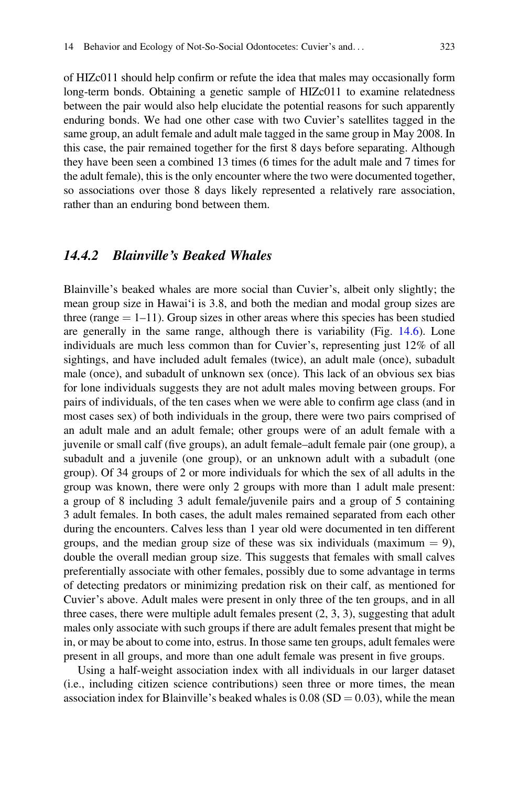of HIZc011 should help confirm or refute the idea that males may occasionally form long-term bonds. Obtaining a genetic sample of HIZc011 to examine relatedness between the pair would also help elucidate the potential reasons for such apparently enduring bonds. We had one other case with two Cuvier's satellites tagged in the same group, an adult female and adult male tagged in the same group in May 2008. In this case, the pair remained together for the first 8 days before separating. Although they have been seen a combined 13 times (6 times for the adult male and 7 times for the adult female), this is the only encounter where the two were documented together, so associations over those 8 days likely represented a relatively rare association, rather than an enduring bond between them.

## 14.4.2 Blainville's Beaked Whales

Blainville's beaked whales are more social than Cuvier's, albeit only slightly; the mean group size in Hawai'i is 3.8, and both the median and modal group sizes are three (range  $= 1-11$ ). Group sizes in other areas where this species has been studied are generally in the same range, although there is variability (Fig. 14.6). Lone individuals are much less common than for Cuvier's, representing just 12% of all sightings, and have included adult females (twice), an adult male (once), subadult male (once), and subadult of unknown sex (once). This lack of an obvious sex bias for lone individuals suggests they are not adult males moving between groups. For pairs of individuals, of the ten cases when we were able to confirm age class (and in most cases sex) of both individuals in the group, there were two pairs comprised of an adult male and an adult female; other groups were of an adult female with a juvenile or small calf (five groups), an adult female–adult female pair (one group), a subadult and a juvenile (one group), or an unknown adult with a subadult (one group). Of 34 groups of 2 or more individuals for which the sex of all adults in the group was known, there were only 2 groups with more than 1 adult male present: a group of 8 including 3 adult female/juvenile pairs and a group of 5 containing 3 adult females. In both cases, the adult males remained separated from each other during the encounters. Calves less than 1 year old were documented in ten different groups, and the median group size of these was six individuals (maximum  $= 9$ ), double the overall median group size. This suggests that females with small calves preferentially associate with other females, possibly due to some advantage in terms of detecting predators or minimizing predation risk on their calf, as mentioned for Cuvier's above. Adult males were present in only three of the ten groups, and in all three cases, there were multiple adult females present  $(2, 3, 3)$ , suggesting that adult males only associate with such groups if there are adult females present that might be in, or may be about to come into, estrus. In those same ten groups, adult females were present in all groups, and more than one adult female was present in five groups.

Using a half-weight association index with all individuals in our larger dataset (i.e., including citizen science contributions) seen three or more times, the mean association index for Blainville's beaked whales is  $0.08$  (SD = 0.03), while the mean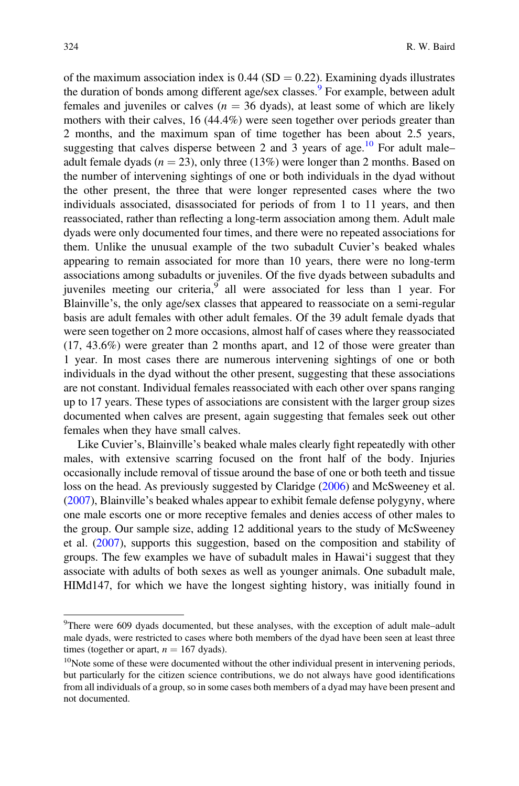of the maximum association index is  $0.44$  (SD = 0.22). Examining dyads illustrates the duration of bonds among different age/sex classes.<sup>9</sup> For example, between adult females and juveniles or calves ( $n = 36$  dyads), at least some of which are likely mothers with their calves, 16 (44.4%) were seen together over periods greater than 2 months, and the maximum span of time together has been about 2.5 years, suggesting that calves disperse between 2 and 3 years of age.<sup>10</sup> For adult male– adult female dyads ( $n = 23$ ), only three (13%) were longer than 2 months. Based on the number of intervening sightings of one or both individuals in the dyad without the other present, the three that were longer represented cases where the two individuals associated, disassociated for periods of from 1 to 11 years, and then reassociated, rather than reflecting a long-term association among them. Adult male dyads were only documented four times, and there were no repeated associations for them. Unlike the unusual example of the two subadult Cuvier's beaked whales appearing to remain associated for more than 10 years, there were no long-term associations among subadults or juveniles. Of the five dyads between subadults and juveniles meeting our criteria,<sup>9</sup> all were associated for less than 1 year. For Blainville's, the only age/sex classes that appeared to reassociate on a semi-regular basis are adult females with other adult females. Of the 39 adult female dyads that were seen together on 2 more occasions, almost half of cases where they reassociated (17, 43.6%) were greater than 2 months apart, and 12 of those were greater than 1 year. In most cases there are numerous intervening sightings of one or both individuals in the dyad without the other present, suggesting that these associations are not constant. Individual females reassociated with each other over spans ranging up to 17 years. These types of associations are consistent with the larger group sizes documented when calves are present, again suggesting that females seek out other females when they have small calves.

Like Cuvier's, Blainville's beaked whale males clearly fight repeatedly with other males, with extensive scarring focused on the front half of the body. Injuries occasionally include removal of tissue around the base of one or both teeth and tissue loss on the head. As previously suggested by Claridge (2006) and McSweeney et al. (2007), Blainville's beaked whales appear to exhibit female defense polygyny, where one male escorts one or more receptive females and denies access of other males to the group. Our sample size, adding 12 additional years to the study of McSweeney et al. (2007), supports this suggestion, based on the composition and stability of groups. The few examples we have of subadult males in Hawai'i suggest that they associate with adults of both sexes as well as younger animals. One subadult male, HIMd147, for which we have the longest sighting history, was initially found in

<sup>&</sup>lt;sup>9</sup>There were 609 dyads documented, but these analyses, with the exception of adult male-adult male dyads, were restricted to cases where both members of the dyad have been seen at least three times (together or apart,  $n = 167$  dyads).<br><sup>10</sup>Note some of these were documented without the other individual present in intervening periods,

but particularly for the citizen science contributions, we do not always have good identifications from all individuals of a group, so in some cases both members of a dyad may have been present and not documented.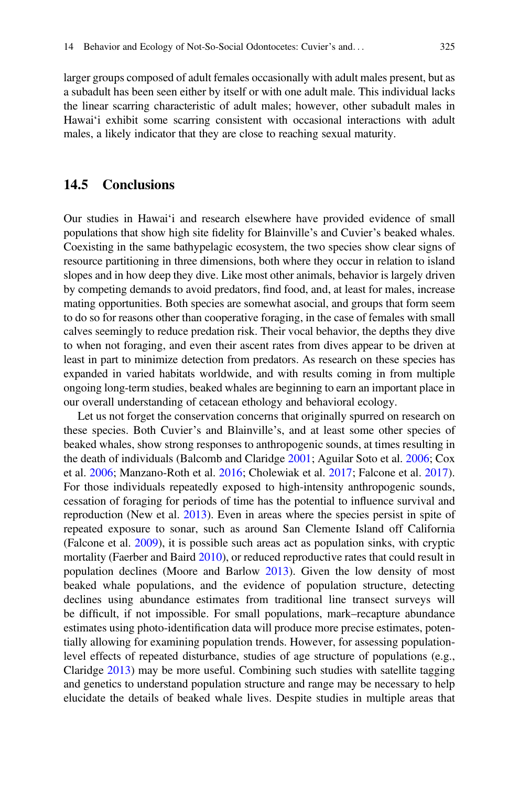larger groups composed of adult females occasionally with adult males present, but as a subadult has been seen either by itself or with one adult male. This individual lacks the linear scarring characteristic of adult males; however, other subadult males in Hawai'i exhibit some scarring consistent with occasional interactions with adult males, a likely indicator that they are close to reaching sexual maturity.

## 14.5 Conclusions

Our studies in Hawai'i and research elsewhere have provided evidence of small populations that show high site fidelity for Blainville's and Cuvier's beaked whales. Coexisting in the same bathypelagic ecosystem, the two species show clear signs of resource partitioning in three dimensions, both where they occur in relation to island slopes and in how deep they dive. Like most other animals, behavior is largely driven by competing demands to avoid predators, find food, and, at least for males, increase mating opportunities. Both species are somewhat asocial, and groups that form seem to do so for reasons other than cooperative foraging, in the case of females with small calves seemingly to reduce predation risk. Their vocal behavior, the depths they dive to when not foraging, and even their ascent rates from dives appear to be driven at least in part to minimize detection from predators. As research on these species has expanded in varied habitats worldwide, and with results coming in from multiple ongoing long-term studies, beaked whales are beginning to earn an important place in our overall understanding of cetacean ethology and behavioral ecology.

Let us not forget the conservation concerns that originally spurred on research on these species. Both Cuvier's and Blainville's, and at least some other species of beaked whales, show strong responses to anthropogenic sounds, at times resulting in the death of individuals (Balcomb and Claridge 2001; Aguilar Soto et al. 2006; Cox et al. 2006; Manzano-Roth et al. 2016; Cholewiak et al. 2017; Falcone et al. 2017). For those individuals repeatedly exposed to high-intensity anthropogenic sounds, cessation of foraging for periods of time has the potential to influence survival and reproduction (New et al. 2013). Even in areas where the species persist in spite of repeated exposure to sonar, such as around San Clemente Island off California (Falcone et al. 2009), it is possible such areas act as population sinks, with cryptic mortality (Faerber and Baird 2010), or reduced reproductive rates that could result in population declines (Moore and Barlow 2013). Given the low density of most beaked whale populations, and the evidence of population structure, detecting declines using abundance estimates from traditional line transect surveys will be difficult, if not impossible. For small populations, mark–recapture abundance estimates using photo-identification data will produce more precise estimates, potentially allowing for examining population trends. However, for assessing populationlevel effects of repeated disturbance, studies of age structure of populations (e.g., Claridge 2013) may be more useful. Combining such studies with satellite tagging and genetics to understand population structure and range may be necessary to help elucidate the details of beaked whale lives. Despite studies in multiple areas that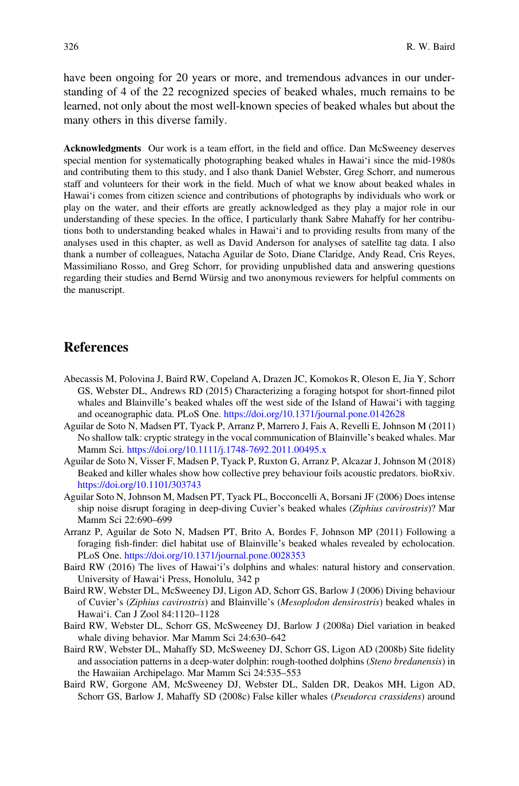have been ongoing for 20 years or more, and tremendous advances in our understanding of 4 of the 22 recognized species of beaked whales, much remains to be learned, not only about the most well-known species of beaked whales but about the many others in this diverse family.

Acknowledgments Our work is a team effort, in the field and office. Dan McSweeney deserves special mention for systematically photographing beaked whales in Hawai'i since the mid-1980s and contributing them to this study, and I also thank Daniel Webster, Greg Schorr, and numerous staff and volunteers for their work in the field. Much of what we know about beaked whales in Hawai'i comes from citizen science and contributions of photographs by individuals who work or play on the water, and their efforts are greatly acknowledged as they play a major role in our understanding of these species. In the office, I particularly thank Sabre Mahaffy for her contributions both to understanding beaked whales in Hawai'i and to providing results from many of the analyses used in this chapter, as well as David Anderson for analyses of satellite tag data. I also thank a number of colleagues, Natacha Aguilar de Soto, Diane Claridge, Andy Read, Cris Reyes, Massimiliano Rosso, and Greg Schorr, for providing unpublished data and answering questions regarding their studies and Bernd Würsig and two anonymous reviewers for helpful comments on the manuscript.

## **References**

- Abecassis M, Polovina J, Baird RW, Copeland A, Drazen JC, Komokos R, Oleson E, Jia Y, Schorr GS, Webster DL, Andrews RD (2015) Characterizing a foraging hotspot for short-finned pilot whales and Blainville's beaked whales off the west side of the Island of Hawai'i with tagging and oceanographic data. PLoS One. <https://doi.org/10.1371/journal.pone.0142628>
- Aguilar de Soto N, Madsen PT, Tyack P, Arranz P, Marrero J, Fais A, Revelli E, Johnson M (2011) No shallow talk: cryptic strategy in the vocal communication of Blainville's beaked whales. Mar Mamm Sci. <https://doi.org/10.1111/j.1748-7692.2011.00495.x>
- Aguilar de Soto N, Visser F, Madsen P, Tyack P, Ruxton G, Arranz P, Alcazar J, Johnson M (2018) Beaked and killer whales show how collective prey behaviour foils acoustic predators. bioRxiv. <https://doi.org/10.1101/303743>
- Aguilar Soto N, Johnson M, Madsen PT, Tyack PL, Bocconcelli A, Borsani JF (2006) Does intense ship noise disrupt foraging in deep-diving Cuvier's beaked whales (Ziphius cavirostris)? Mar Mamm Sci 22:690–699
- Arranz P, Aguilar de Soto N, Madsen PT, Brito A, Bordes F, Johnson MP (2011) Following a foraging fish-finder: diel habitat use of Blainville's beaked whales revealed by echolocation. PLoS One. <https://doi.org/10.1371/journal.pone.0028353>
- Baird RW (2016) The lives of Hawai'i's dolphins and whales: natural history and conservation. University of Hawai'i Press, Honolulu, 342 p
- Baird RW, Webster DL, McSweeney DJ, Ligon AD, Schorr GS, Barlow J (2006) Diving behaviour of Cuvier's (Ziphius cavirostris) and Blainville's (Mesoplodon densirostris) beaked whales in Hawai'i. Can J Zool 84:1120–1128
- Baird RW, Webster DL, Schorr GS, McSweeney DJ, Barlow J (2008a) Diel variation in beaked whale diving behavior. Mar Mamm Sci 24:630–642
- Baird RW, Webster DL, Mahaffy SD, McSweeney DJ, Schorr GS, Ligon AD (2008b) Site fidelity and association patterns in a deep-water dolphin: rough-toothed dolphins (Steno bredanensis) in the Hawaiian Archipelago. Mar Mamm Sci 24:535–553
- Baird RW, Gorgone AM, McSweeney DJ, Webster DL, Salden DR, Deakos MH, Ligon AD, Schorr GS, Barlow J, Mahaffy SD (2008c) False killer whales (*Pseudorca crassidens*) around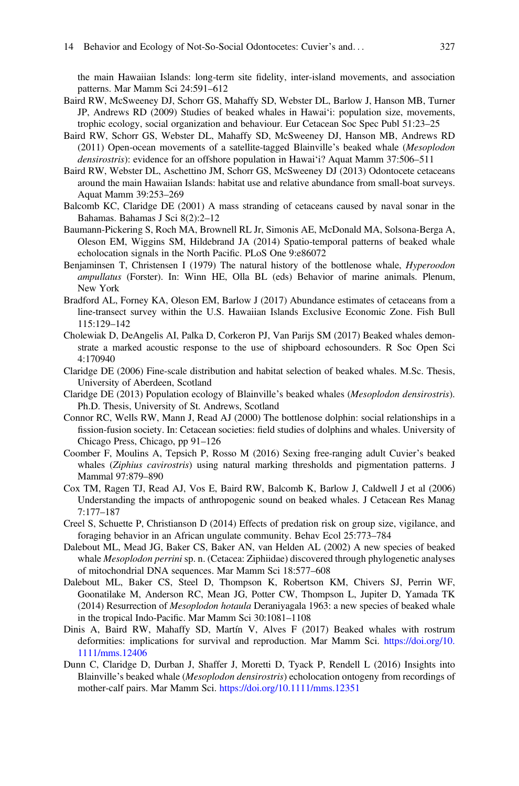the main Hawaiian Islands: long-term site fidelity, inter-island movements, and association patterns. Mar Mamm Sci 24:591–612

- Baird RW, McSweeney DJ, Schorr GS, Mahaffy SD, Webster DL, Barlow J, Hanson MB, Turner JP, Andrews RD (2009) Studies of beaked whales in Hawai'i: population size, movements, trophic ecology, social organization and behaviour. Eur Cetacean Soc Spec Publ 51:23–25
- Baird RW, Schorr GS, Webster DL, Mahaffy SD, McSweeney DJ, Hanson MB, Andrews RD (2011) Open-ocean movements of a satellite-tagged Blainville's beaked whale (Mesoplodon densirostris): evidence for an offshore population in Hawai'i? Aquat Mamm 37:506–511
- Baird RW, Webster DL, Aschettino JM, Schorr GS, McSweeney DJ (2013) Odontocete cetaceans around the main Hawaiian Islands: habitat use and relative abundance from small-boat surveys. Aquat Mamm 39:253–269
- Balcomb KC, Claridge DE (2001) A mass stranding of cetaceans caused by naval sonar in the Bahamas. Bahamas J Sci 8(2):2–12
- Baumann-Pickering S, Roch MA, Brownell RL Jr, Simonis AE, McDonald MA, Solsona-Berga A, Oleson EM, Wiggins SM, Hildebrand JA (2014) Spatio-temporal patterns of beaked whale echolocation signals in the North Pacific. PLoS One 9:e86072
- Benjaminsen T, Christensen I (1979) The natural history of the bottlenose whale, *Hyperoodon* ampullatus (Forster). In: Winn HE, Olla BL (eds) Behavior of marine animals. Plenum, New York
- Bradford AL, Forney KA, Oleson EM, Barlow J (2017) Abundance estimates of cetaceans from a line-transect survey within the U.S. Hawaiian Islands Exclusive Economic Zone. Fish Bull 115:129–142
- Cholewiak D, DeAngelis AI, Palka D, Corkeron PJ, Van Parijs SM (2017) Beaked whales demonstrate a marked acoustic response to the use of shipboard echosounders. R Soc Open Sci 4:170940
- Claridge DE (2006) Fine-scale distribution and habitat selection of beaked whales. M.Sc. Thesis, University of Aberdeen, Scotland
- Claridge DE (2013) Population ecology of Blainville's beaked whales (Mesoplodon densirostris). Ph.D. Thesis, University of St. Andrews, Scotland
- Connor RC, Wells RW, Mann J, Read AJ (2000) The bottlenose dolphin: social relationships in a fission-fusion society. In: Cetacean societies: field studies of dolphins and whales. University of Chicago Press, Chicago, pp 91–126
- Coomber F, Moulins A, Tepsich P, Rosso M (2016) Sexing free-ranging adult Cuvier's beaked whales (Ziphius cavirostris) using natural marking thresholds and pigmentation patterns. J Mammal 97:879–890
- Cox TM, Ragen TJ, Read AJ, Vos E, Baird RW, Balcomb K, Barlow J, Caldwell J et al (2006) Understanding the impacts of anthropogenic sound on beaked whales. J Cetacean Res Manag 7:177–187
- Creel S, Schuette P, Christianson D (2014) Effects of predation risk on group size, vigilance, and foraging behavior in an African ungulate community. Behav Ecol 25:773–784
- Dalebout ML, Mead JG, Baker CS, Baker AN, van Helden AL (2002) A new species of beaked whale Mesoplodon perrini sp. n. (Cetacea: Ziphiidae) discovered through phylogenetic analyses of mitochondrial DNA sequences. Mar Mamm Sci 18:577–608
- Dalebout ML, Baker CS, Steel D, Thompson K, Robertson KM, Chivers SJ, Perrin WF, Goonatilake M, Anderson RC, Mean JG, Potter CW, Thompson L, Jupiter D, Yamada TK (2014) Resurrection of Mesoplodon hotaula Deraniyagala 1963: a new species of beaked whale in the tropical Indo-Pacific. Mar Mamm Sci 30:1081–1108
- Dinis A, Baird RW, Mahaffy SD, Martín V, Alves F (2017) Beaked whales with rostrum deformities: implications for survival and reproduction. Mar Mamm Sci. [https://doi.org/10.](https://doi.org/10.1111/mms.12406) [1111/mms.12406](https://doi.org/10.1111/mms.12406)
- Dunn C, Claridge D, Durban J, Shaffer J, Moretti D, Tyack P, Rendell L (2016) Insights into Blainville's beaked whale (Mesoplodon densirostris) echolocation ontogeny from recordings of mother-calf pairs. Mar Mamm Sci. <https://doi.org/10.1111/mms.12351>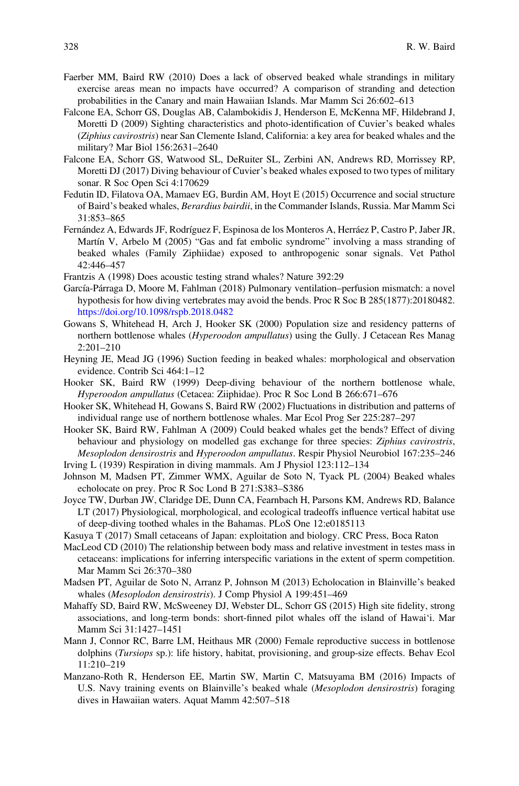- Faerber MM, Baird RW (2010) Does a lack of observed beaked whale strandings in military exercise areas mean no impacts have occurred? A comparison of stranding and detection probabilities in the Canary and main Hawaiian Islands. Mar Mamm Sci 26:602–613
- Falcone EA, Schorr GS, Douglas AB, Calambokidis J, Henderson E, McKenna MF, Hildebrand J, Moretti D (2009) Sighting characteristics and photo-identification of Cuvier's beaked whales (Ziphius cavirostris) near San Clemente Island, California: a key area for beaked whales and the military? Mar Biol 156:2631–2640
- Falcone EA, Schorr GS, Watwood SL, DeRuiter SL, Zerbini AN, Andrews RD, Morrissey RP, Moretti DJ (2017) Diving behaviour of Cuvier's beaked whales exposed to two types of military sonar. R Soc Open Sci 4:170629
- Fedutin ID, Filatova OA, Mamaev EG, Burdin AM, Hoyt E (2015) Occurrence and social structure of Baird's beaked whales, Berardius bairdii, in the Commander Islands, Russia. Mar Mamm Sci 31:853–865
- Fernández A, Edwards JF, Rodríguez F, Espinosa de los Monteros A, Herráez P, Castro P, Jaber JR, Martín V, Arbelo M (2005) "Gas and fat embolic syndrome" involving a mass stranding of beaked whales (Family Ziphiidae) exposed to anthropogenic sonar signals. Vet Pathol 42:446–457
- Frantzis A (1998) Does acoustic testing strand whales? Nature 392:29
- García-Párraga D, Moore M, Fahlman (2018) Pulmonary ventilation–perfusion mismatch: a novel hypothesis for how diving vertebrates may avoid the bends. Proc R Soc B 285(1877):20180482. <https://doi.org/10.1098/rspb.2018.0482>
- Gowans S, Whitehead H, Arch J, Hooker SK (2000) Population size and residency patterns of northern bottlenose whales (Hyperoodon ampullatus) using the Gully. J Cetacean Res Manag 2:201–210
- Heyning JE, Mead JG (1996) Suction feeding in beaked whales: morphological and observation evidence. Contrib Sci 464:1–12
- Hooker SK, Baird RW (1999) Deep-diving behaviour of the northern bottlenose whale, Hyperoodon ampullatus (Cetacea: Ziiphidae). Proc R Soc Lond B 266:671–676
- Hooker SK, Whitehead H, Gowans S, Baird RW (2002) Fluctuations in distribution and patterns of individual range use of northern bottlenose whales. Mar Ecol Prog Ser 225:287–297
- Hooker SK, Baird RW, Fahlman A (2009) Could beaked whales get the bends? Effect of diving behaviour and physiology on modelled gas exchange for three species: Ziphius cavirostris, Mesoplodon densirostris and Hyperoodon ampullatus. Respir Physiol Neurobiol 167:235–246
- Irving L (1939) Respiration in diving mammals. Am J Physiol 123:112–134
- Johnson M, Madsen PT, Zimmer WMX, Aguilar de Soto N, Tyack PL (2004) Beaked whales echolocate on prey. Proc R Soc Lond B 271:S383–S386
- Joyce TW, Durban JW, Claridge DE, Dunn CA, Fearnbach H, Parsons KM, Andrews RD, Balance LT (2017) Physiological, morphological, and ecological tradeoffs influence vertical habitat use of deep-diving toothed whales in the Bahamas. PLoS One 12:e0185113
- Kasuya T (2017) Small cetaceans of Japan: exploitation and biology. CRC Press, Boca Raton
- MacLeod CD (2010) The relationship between body mass and relative investment in testes mass in cetaceans: implications for inferring interspecific variations in the extent of sperm competition. Mar Mamm Sci 26:370–380
- Madsen PT, Aguilar de Soto N, Arranz P, Johnson M (2013) Echolocation in Blainville's beaked whales (Mesoplodon densirostris). J Comp Physiol A 199:451-469
- Mahaffy SD, Baird RW, McSweeney DJ, Webster DL, Schorr GS (2015) High site fidelity, strong associations, and long-term bonds: short-finned pilot whales off the island of Hawai'i. Mar Mamm Sci 31:1427–1451
- Mann J, Connor RC, Barre LM, Heithaus MR (2000) Female reproductive success in bottlenose dolphins (Tursiops sp.): life history, habitat, provisioning, and group-size effects. Behav Ecol 11:210–219
- Manzano-Roth R, Henderson EE, Martin SW, Martin C, Matsuyama BM (2016) Impacts of U.S. Navy training events on Blainville's beaked whale *(Mesoplodon densirostris)* foraging dives in Hawaiian waters. Aquat Mamm 42:507–518